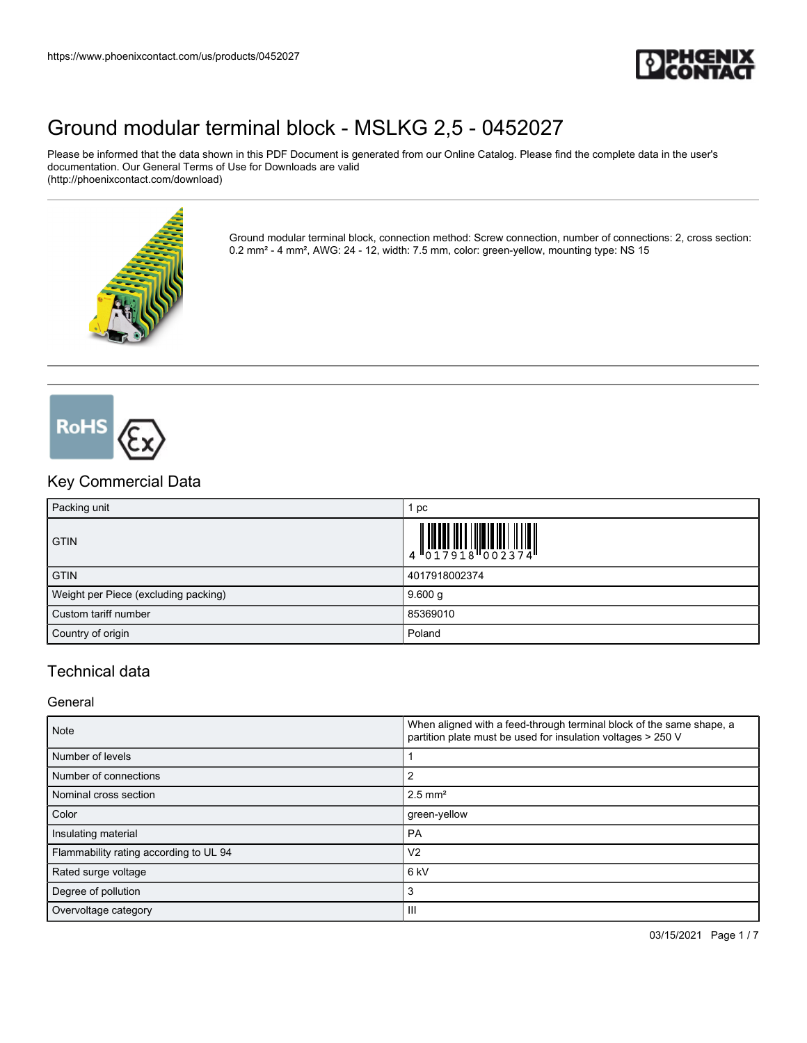

Please be informed that the data shown in this PDF Document is generated from our Online Catalog. Please find the complete data in the user's documentation. Our General Terms of Use for Downloads are valid (http://phoenixcontact.com/download)



Ground modular terminal block, connection method: Screw connection, number of connections: 2, cross section: 0.2 mm² - 4 mm², AWG: 24 - 12, width: 7.5 mm, color: green-yellow, mounting type: NS 15



## Key Commercial Data

| Packing unit                         | pc                                                                                                 |
|--------------------------------------|----------------------------------------------------------------------------------------------------|
| <b>GTIN</b>                          | $\begin{array}{c} 1 & 0 & 0 & 0 & 0 \\ 0 & 1 & 7 & 9 & 1 & 8 \\ 0 & 0 & 0 & 0 & 0 & 0 \end{array}$ |
| <b>GTIN</b>                          | 4017918002374                                                                                      |
| Weight per Piece (excluding packing) | 9.600 g                                                                                            |
| Custom tariff number                 | 85369010                                                                                           |
| Country of origin                    | Poland                                                                                             |

## Technical data

**General** 

| <b>Note</b>                            | When aligned with a feed-through terminal block of the same shape, a<br>partition plate must be used for insulation voltages > 250 V |
|----------------------------------------|--------------------------------------------------------------------------------------------------------------------------------------|
| Number of levels                       |                                                                                                                                      |
| Number of connections                  | 2                                                                                                                                    |
| Nominal cross section                  | $2.5$ mm <sup>2</sup>                                                                                                                |
| Color                                  | green-yellow                                                                                                                         |
| Insulating material                    | <b>PA</b>                                                                                                                            |
| Flammability rating according to UL 94 | V <sub>2</sub>                                                                                                                       |
| Rated surge voltage                    | 6 kV                                                                                                                                 |
| Degree of pollution                    | 3                                                                                                                                    |
| Overvoltage category                   | Ш                                                                                                                                    |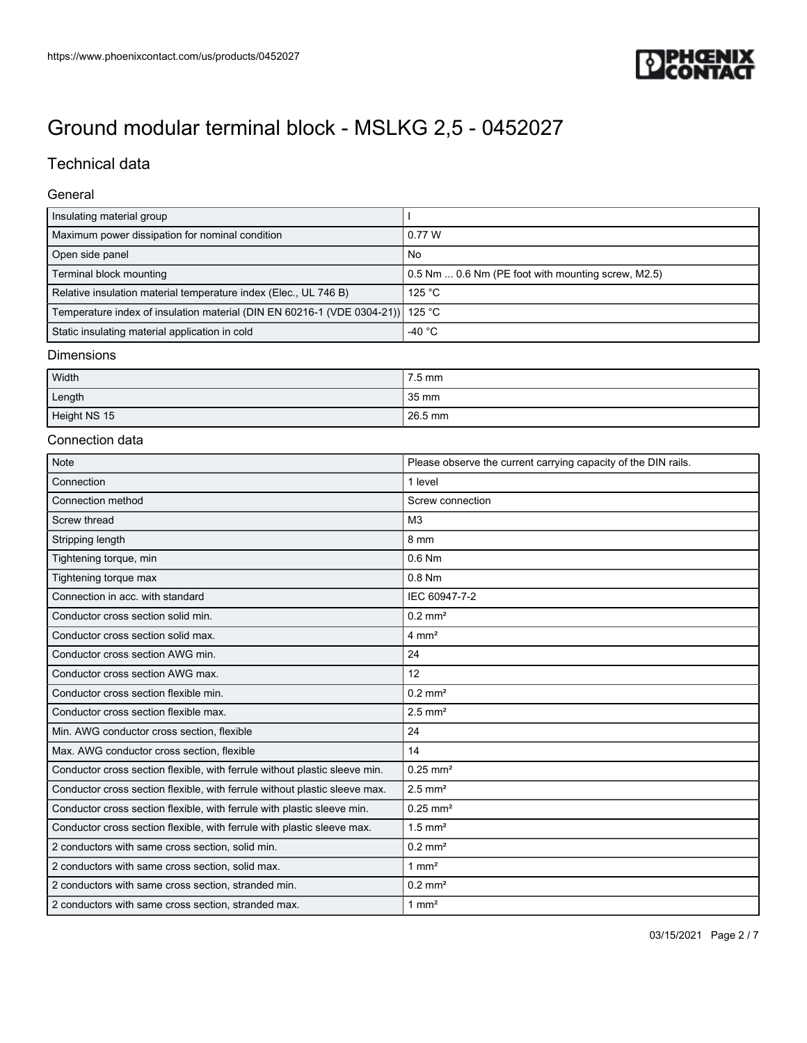

## Technical data

### General

| Insulating material group                                                      |                                                    |
|--------------------------------------------------------------------------------|----------------------------------------------------|
| Maximum power dissipation for nominal condition                                | 0.77 W                                             |
| Open side panel                                                                | No                                                 |
| Terminal block mounting                                                        | 0.5 Nm  0.6 Nm (PE foot with mounting screw, M2.5) |
| Relative insulation material temperature index (Elec., UL 746 B)               | 125 $^{\circ}$ C                                   |
| Temperature index of insulation material (DIN EN 60216-1 (VDE 0304-21)) 125 °C |                                                    |
| Static insulating material application in cold                                 | -40 $^{\circ}$ C                                   |

#### Dimensions

| Width        | 7.5 mm    |
|--------------|-----------|
| Length       | 35 mm     |
| Height NS 15 | $26.5$ mm |

### Connection data

| <b>Note</b>                                                                | Please observe the current carrying capacity of the DIN rails. |
|----------------------------------------------------------------------------|----------------------------------------------------------------|
| Connection                                                                 | 1 level                                                        |
| Connection method                                                          | Screw connection                                               |
| Screw thread                                                               | M <sub>3</sub>                                                 |
| Stripping length                                                           | 8 mm                                                           |
| Tightening torque, min                                                     | $0.6$ Nm                                                       |
| Tightening torque max                                                      | $0.8$ Nm                                                       |
| Connection in acc. with standard                                           | IEC 60947-7-2                                                  |
| Conductor cross section solid min.                                         | $0.2$ mm <sup>2</sup>                                          |
| Conductor cross section solid max.                                         | $4 \text{ mm}^2$                                               |
| Conductor cross section AWG min.                                           | 24                                                             |
| Conductor cross section AWG max.                                           | 12                                                             |
| Conductor cross section flexible min.                                      | $0.2$ mm <sup>2</sup>                                          |
| Conductor cross section flexible max.                                      | $2.5$ mm <sup>2</sup>                                          |
| Min. AWG conductor cross section, flexible                                 | 24                                                             |
| Max. AWG conductor cross section, flexible                                 | 14                                                             |
| Conductor cross section flexible, with ferrule without plastic sleeve min. | $0.25$ mm <sup>2</sup>                                         |
| Conductor cross section flexible, with ferrule without plastic sleeve max. | $2.5$ mm <sup>2</sup>                                          |
| Conductor cross section flexible, with ferrule with plastic sleeve min.    | $0.25$ mm <sup>2</sup>                                         |
| Conductor cross section flexible, with ferrule with plastic sleeve max.    | $1.5$ mm <sup>2</sup>                                          |
| 2 conductors with same cross section, solid min.                           | $0.2$ mm <sup>2</sup>                                          |
| 2 conductors with same cross section, solid max.                           | $1 \text{ mm}^2$                                               |
| 2 conductors with same cross section, stranded min.                        | $0.2$ mm <sup>2</sup>                                          |
| 2 conductors with same cross section, stranded max.                        | $1 \text{ mm}^2$                                               |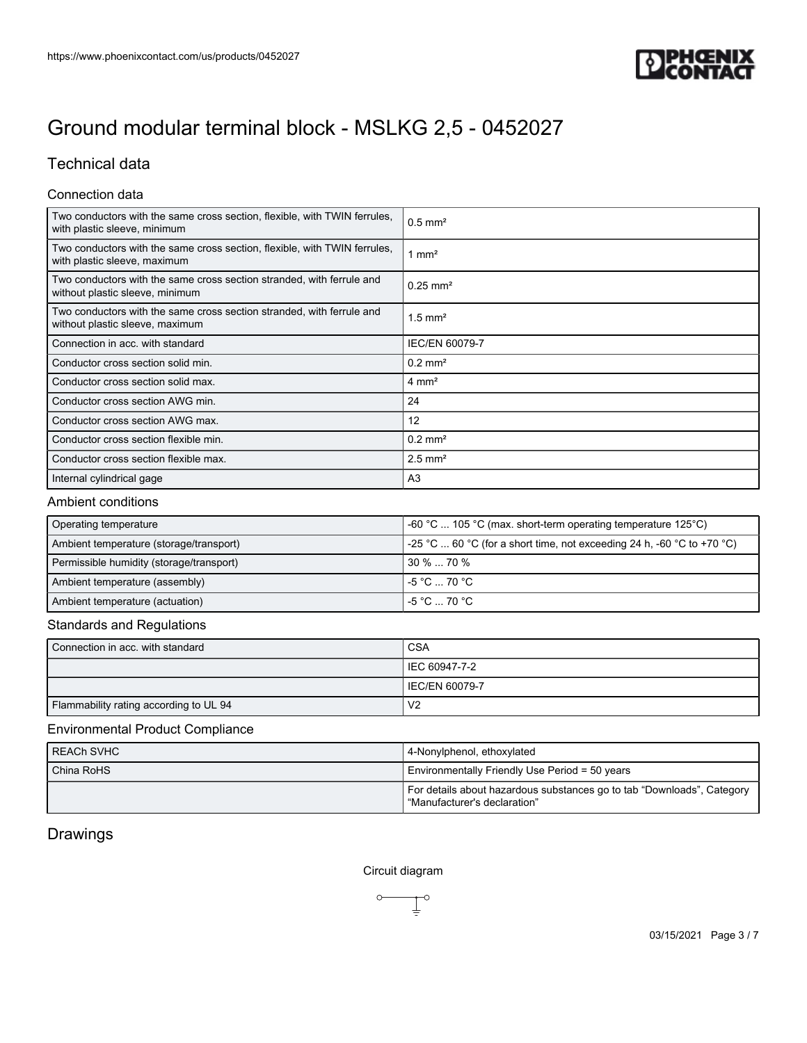

## Technical data

### Connection data

| Two conductors with the same cross section, flexible, with TWIN ferrules,<br>with plastic sleeve, minimum | $0.5$ mm <sup>2</sup>  |
|-----------------------------------------------------------------------------------------------------------|------------------------|
| Two conductors with the same cross section, flexible, with TWIN ferrules,<br>with plastic sleeve, maximum | mm <sup>2</sup>        |
| Two conductors with the same cross section stranded, with ferrule and<br>without plastic sleeve, minimum  | $0.25$ mm <sup>2</sup> |
| Two conductors with the same cross section stranded, with ferrule and<br>without plastic sleeve, maximum  | $1.5$ mm <sup>2</sup>  |
| Connection in acc. with standard                                                                          | <b>IEC/EN 60079-7</b>  |
| Conductor cross section solid min.                                                                        | $0.2$ mm <sup>2</sup>  |
| Conductor cross section solid max.                                                                        | $4 \text{ mm}^2$       |
| Conductor cross section AWG min.                                                                          | 24                     |
| Conductor cross section AWG max.                                                                          | 12                     |
| Conductor cross section flexible min.                                                                     | $0.2$ mm <sup>2</sup>  |
| Conductor cross section flexible max.                                                                     | $2.5$ mm <sup>2</sup>  |
| Internal cylindrical gage                                                                                 | A <sub>3</sub>         |

#### Ambient conditions

| Operating temperature                    | $\sim$ -60 °C  105 °C (max. short-term operating temperature 125°C)    |
|------------------------------------------|------------------------------------------------------------------------|
| Ambient temperature (storage/transport)  | -25 °C  60 °C (for a short time, not exceeding 24 h, -60 °C to +70 °C) |
| Permissible humidity (storage/transport) | $30\%$ 70 $\%$                                                         |
| Ambient temperature (assembly)           | l -5 °C  70 °C .                                                       |
| Ambient temperature (actuation)          | $-5 °C \dots 70 °C$                                                    |

### Standards and Regulations

| Connection in acc. with standard       | <b>CSA</b>            |
|----------------------------------------|-----------------------|
|                                        | l IEC 60947-7-2       |
|                                        | <b>IEC/EN 60079-7</b> |
| Flammability rating according to UL 94 | V <sub>2</sub>        |

### Environmental Product Compliance

| <b>REACH SVHC</b> | 4-Nonylphenol, ethoxylated                                                                             |
|-------------------|--------------------------------------------------------------------------------------------------------|
| China RoHS        | Environmentally Friendly Use Period = 50 years                                                         |
|                   | For details about hazardous substances go to tab "Downloads", Category<br>"Manufacturer's declaration" |

## Drawings

 $\circ$ 

 $\overline{\mathcal{I}}^{\circ}$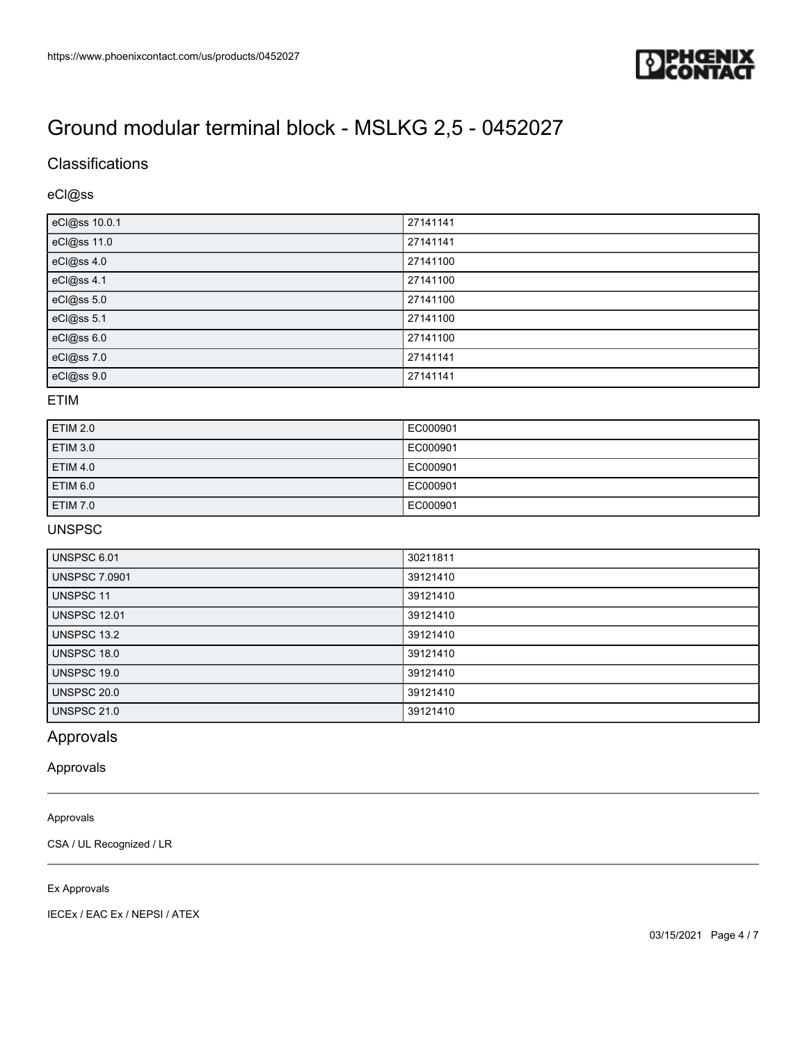

## **Classifications**

## eCl@ss

| eCl@ss 10.0.1 | 27141141 |
|---------------|----------|
| eCl@ss 11.0   | 27141141 |
| eCl@ss 4.0    | 27141100 |
| eCl@ss 4.1    | 27141100 |
| eCl@ss 5.0    | 27141100 |
| eCl@ss 5.1    | 27141100 |
| eCl@ss 6.0    | 27141100 |
| eCl@ss 7.0    | 27141141 |
| eCl@ss 9.0    | 27141141 |

## ETIM

| ETIM 2.0        | EC000901 |
|-----------------|----------|
| ETIM 3.0        | EC000901 |
| ETIM 4.0        | EC000901 |
| <b>ETIM 6.0</b> | EC000901 |
| ETIM 7.0        | EC000901 |

## UNSPSC

| UNSPSC 6.01          | 30211811 |
|----------------------|----------|
| <b>UNSPSC 7.0901</b> | 39121410 |
| <b>UNSPSC 11</b>     | 39121410 |
| <b>UNSPSC 12.01</b>  | 39121410 |
| UNSPSC 13.2          | 39121410 |
| <b>UNSPSC 18.0</b>   | 39121410 |
| UNSPSC 19.0          | 39121410 |
| <b>UNSPSC 20.0</b>   | 39121410 |
| <b>UNSPSC 21.0</b>   | 39121410 |

## Approvals

#### Approvals

### Approvals

CSA / UL Recognized / LR

#### Ex Approvals

IECEx / EAC Ex / NEPSI / ATEX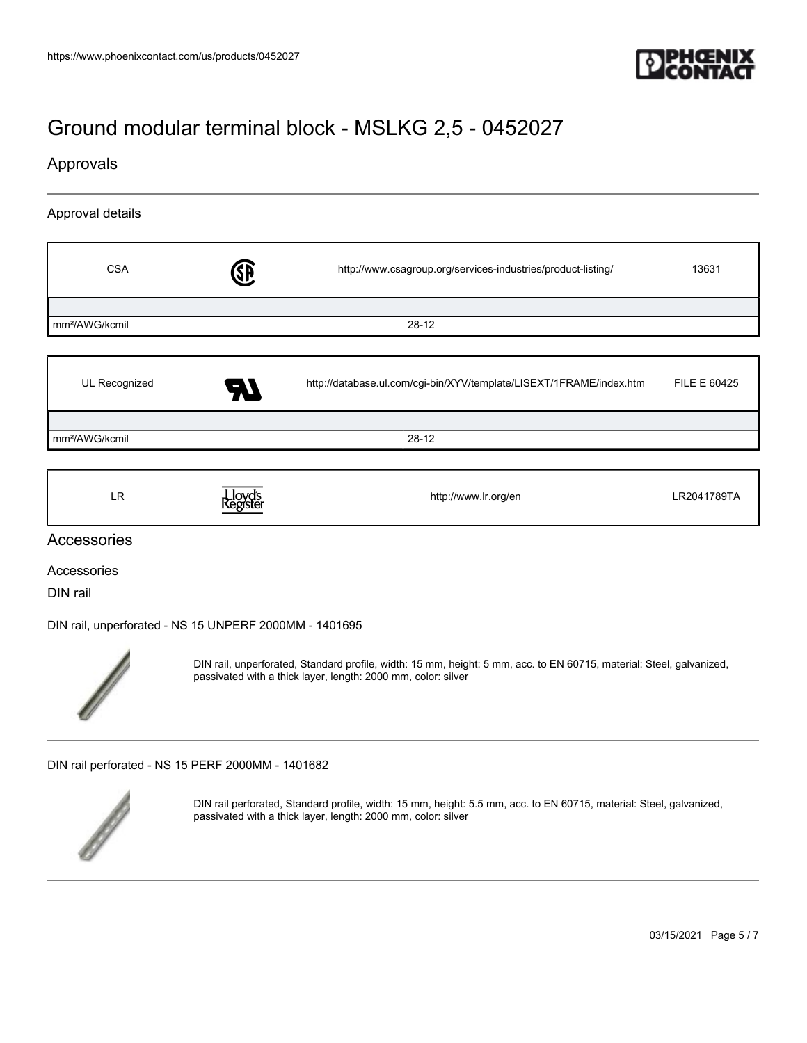

## Approvals

### Approval details

| CSA                         | http://www.csagroup.org/services-industries/product-listing/ |         | 13631 |
|-----------------------------|--------------------------------------------------------------|---------|-------|
|                             |                                                              |         |       |
| $\mathsf{Imm}^2$ /AWG/kcmil |                                                              | $28-12$ |       |
|                             |                                                              |         |       |

| UL Recognized              | A7 | http://database.ul.com/cgi-bin/XYV/template/LISEXT/1FRAME/index.htm |       | FILE E 60425 |
|----------------------------|----|---------------------------------------------------------------------|-------|--------------|
|                            |    |                                                                     |       |              |
| mm <sup>2</sup> /AWG/kcmil |    |                                                                     | 28-12 |              |
|                            |    |                                                                     |       |              |

| LR<br>Jovds<br><b>Keorster</b> | http://www.lr.org/en | LR2041789TA |
|--------------------------------|----------------------|-------------|
|--------------------------------|----------------------|-------------|

### Accessories

Accessories

DIN rail

I

[DIN rail, unperforated - NS 15 UNPERF 2000MM - 1401695](https://www.phoenixcontact.com/us/products/1401695)



DIN rail, unperforated, Standard profile, width: 15 mm, height: 5 mm, acc. to EN 60715, material: Steel, galvanized, passivated with a thick layer, length: 2000 mm, color: silver

[DIN rail perforated - NS 15 PERF 2000MM - 1401682](https://www.phoenixcontact.com/us/products/1401682)



DIN rail perforated, Standard profile, width: 15 mm, height: 5.5 mm, acc. to EN 60715, material: Steel, galvanized, passivated with a thick layer, length: 2000 mm, color: silver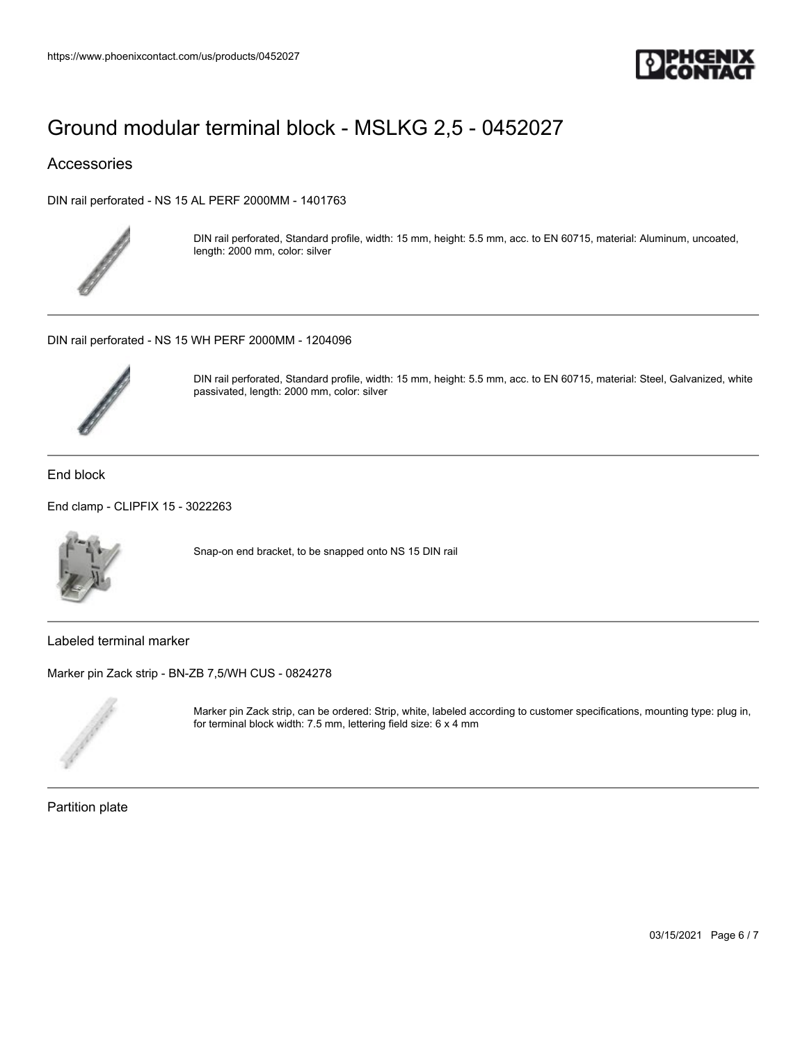

### Accessories

[DIN rail perforated - NS 15 AL PERF 2000MM - 1401763](https://www.phoenixcontact.com/us/products/1401763)



DIN rail perforated, Standard profile, width: 15 mm, height: 5.5 mm, acc. to EN 60715, material: Aluminum, uncoated, length: 2000 mm, color: silver

[DIN rail perforated - NS 15 WH PERF 2000MM - 1204096](https://www.phoenixcontact.com/us/products/1204096)



DIN rail perforated, Standard profile, width: 15 mm, height: 5.5 mm, acc. to EN 60715, material: Steel, Galvanized, white passivated, length: 2000 mm, color: silver

End block

[End clamp - CLIPFIX 15 - 3022263](https://www.phoenixcontact.com/us/products/3022263)



Snap-on end bracket, to be snapped onto NS 15 DIN rail

Labeled terminal marker

[Marker pin Zack strip - BN-ZB 7,5/WH CUS - 0824278](https://www.phoenixcontact.com/us/products/0824278)



Marker pin Zack strip, can be ordered: Strip, white, labeled according to customer specifications, mounting type: plug in, for terminal block width: 7.5 mm, lettering field size: 6 x 4 mm

Partition plate